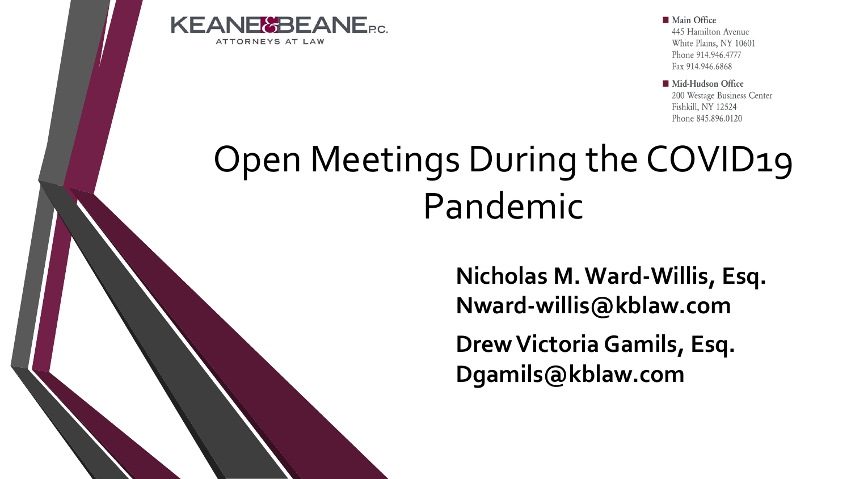

**Main Office** 445 Hamilton Avenue White Plains, NY 10601 Phone 914.946.4777 Fax 914.946.6868

Mid-Hudson Office 200 Westage Business Center Fishkill, NY 12524 Phone 845.896.0120

# Open Meetings During the COVID19 Pandemic

**Drew Victoria Gamils, Esq. Dgamils@kblaw.com Nicholas M. Ward-Willis, Esq. Nward-willis@kblaw.com**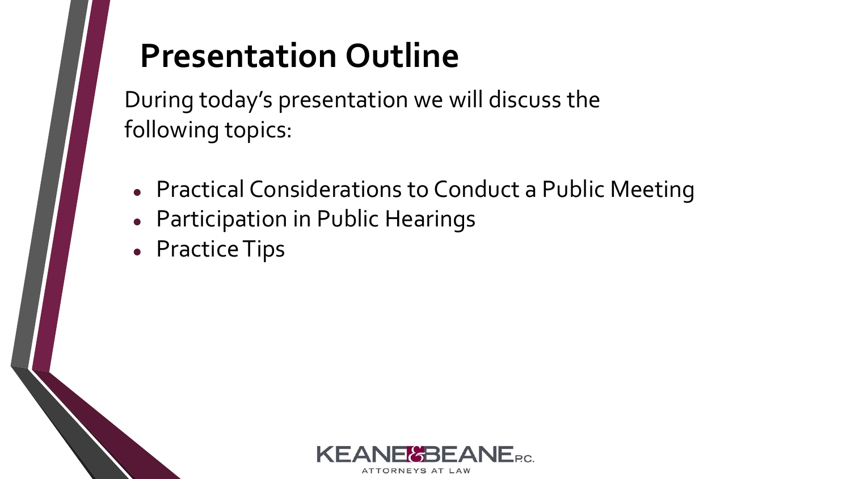### **Presentation Outline**

During today's presentation we will discuss the following topics:

- Practical Considerations to Conduct a Public Meeting
- Participation in Public Hearings
- Practice Tips

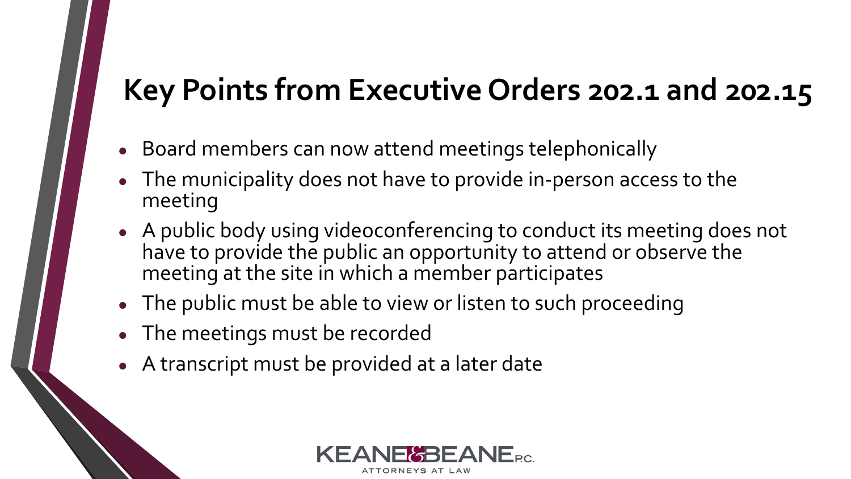#### **Key Points from Executive Orders 202.1 and 202.15**

- Board members can now attend meetings telephonically
- The municipality does not have to provide in-person access to the meeting
- A public body using videoconferencing to conduct its meeting does not have to provide the public an opportunity to attend or observe the meeting at the site in which a member participates
- The public must be able to view or listen to such proceeding
- The meetings must be recorded
- A transcript must be provided at a later date

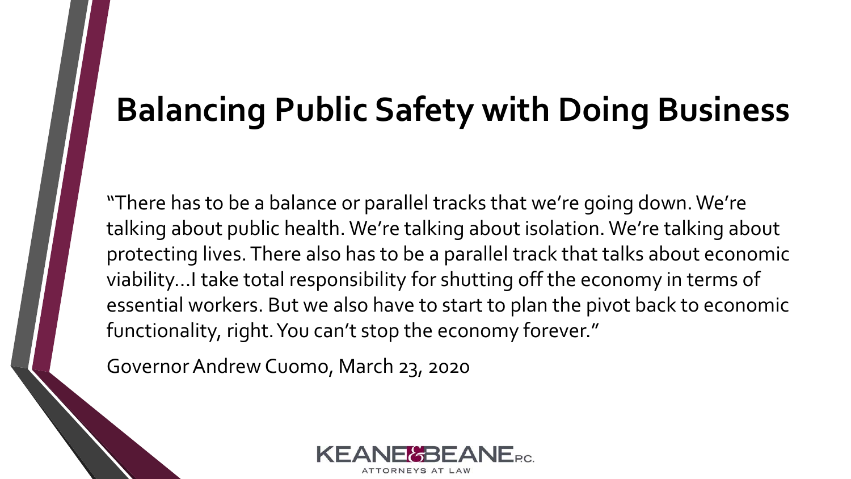#### **Balancing Public Safety with Doing Business**

"There has to be a balance or parallel tracks that we're going down. We're talking about public health. We're talking about isolation. We're talking about protecting lives. There also has to be a parallel track that talks about economic viability…I take total responsibility for shutting off the economy in terms of essential workers. But we also have to start to plan the pivot back to economic functionality, right. You can't stop the economy forever."

Governor Andrew Cuomo, March 23, 2020

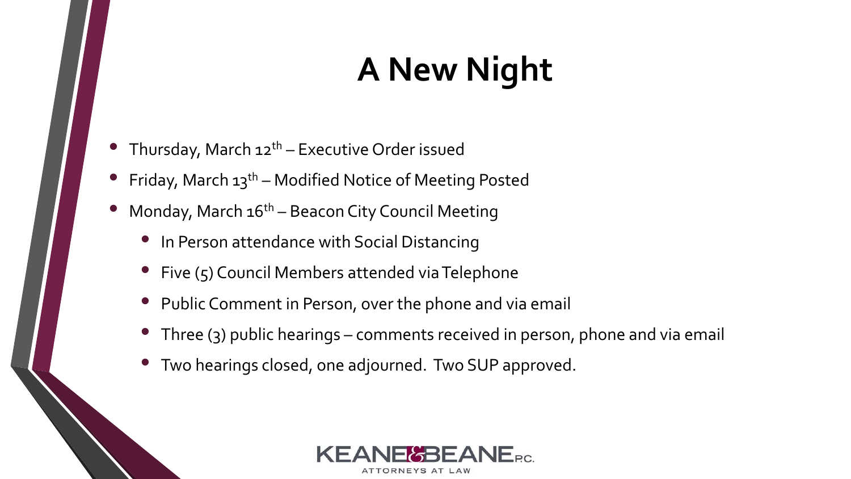# **A New Night**

- Thursday, March 12<sup>th</sup> Executive Order issued
- Friday, March  $13<sup>th</sup>$  Modified Notice of Meeting Posted
- Monday, March  $16<sup>th</sup>$  Beacon City Council Meeting
	- In Person attendance with Social Distancing
	- Five (5) Council Members attended via Telephone
	- Public Comment in Person, over the phone and via email
	- Three (3) public hearings comments received in person, phone and via email
	- Two hearings closed, one adjourned. Two SUP approved.

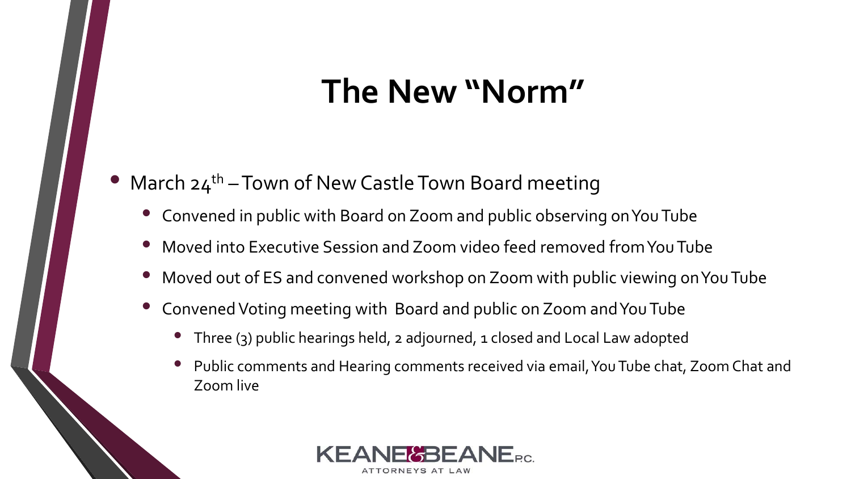#### **The New "Norm"**

#### March  $24^{th}$  – Town of New Castle Town Board meeting

- Convened in public with Board on Zoom and public observing on You Tube
- Moved into Executive Session and Zoom video feed removed from You Tube
- Moved out of ES and convened workshop on Zoom with public viewing on You Tube
- Convened Voting meeting with Board and public on Zoom and You Tube
	- Three (3) public hearings held, 2 adjourned, 1 closed and Local Law adopted
	- Public comments and Hearing comments received via email, You Tube chat, Zoom Chat and Zoom live

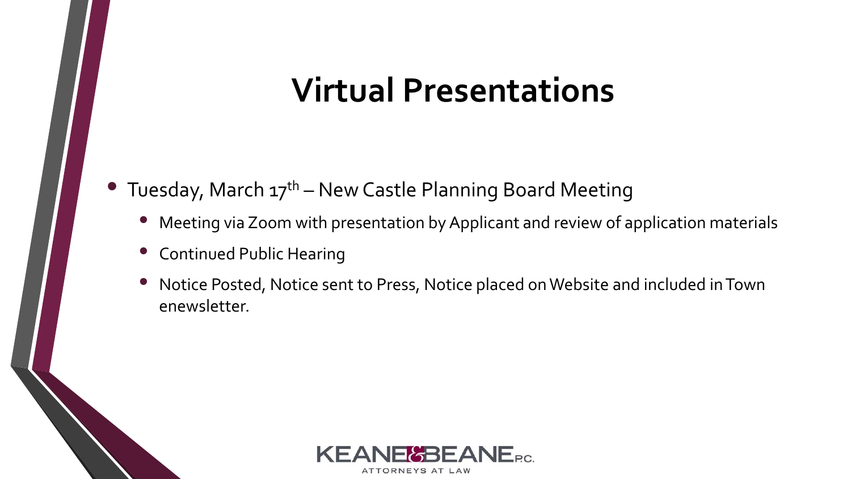#### **Virtual Presentations**

• Tuesday, March  $17^{th}$  – New Castle Planning Board Meeting

- Meeting via Zoom with presentation by Applicant and review of application materials
- Continued Public Hearing
- Notice Posted, Notice sent to Press, Notice placed on Website and included in Town enewsletter.

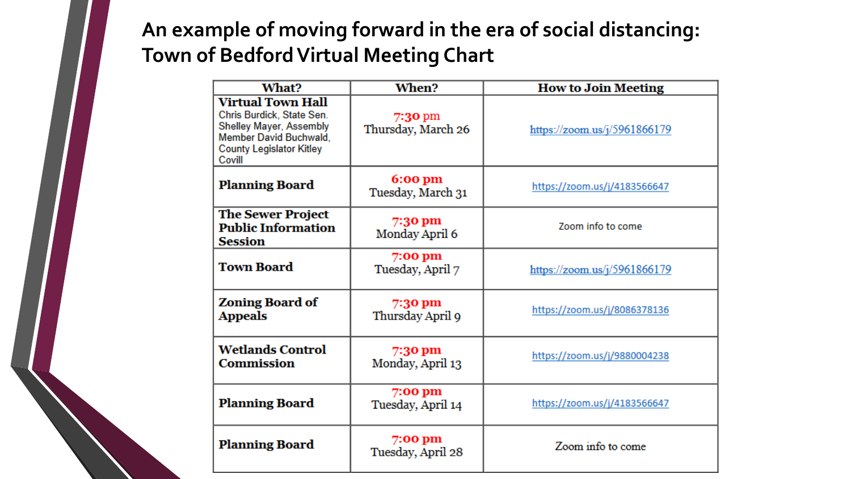#### **An example of moving forward in the era of social distancing: Town of Bedford Virtual Meeting Chart**

| What?                                                                                                                                                   | <b>When?</b><br><b>How to Join Meeting</b> |                                 |  |  |
|---------------------------------------------------------------------------------------------------------------------------------------------------------|--------------------------------------------|---------------------------------|--|--|
| <b>Virtual Town Hall</b><br>Chris Burdick, State Sen.<br>Shelley Mayer, Assembly<br>Member David Buchwald,<br><b>County Legislator Kitley</b><br>Covill | $7:30$ pm<br>Thursday, March 26            | https://zoom.us/ $j/5961866179$ |  |  |
| <b>Planning Board</b>                                                                                                                                   | 6:00 pm<br>Tuesday, March 31               | https://zoom.us/j/4183566647    |  |  |
| <b>The Sewer Project</b><br><b>Public Information</b><br><b>Session</b>                                                                                 | 7:30 pm<br>Monday April 6                  | Zoom info to come               |  |  |
| <b>Town Board</b>                                                                                                                                       | 7:00 pm<br>Tuesday, April 7                | https://zoom.us/j/5961866179    |  |  |
| <b>Zoning Board of</b><br><b>Appeals</b>                                                                                                                | 7:30 pm<br>Thursday April 9                | https://zoom.us/j/8086378136    |  |  |
| <b>Wetlands Control</b><br><b>Commission</b>                                                                                                            | 7:30 pm<br>Monday, April 13                | https://zoom.us/j/9880004238    |  |  |
| <b>Planning Board</b>                                                                                                                                   | 7:00 pm<br>Tuesday, April 14               | https://zoom.us/j/4183566647    |  |  |
| <b>Planning Board</b>                                                                                                                                   | $7:00$ pm<br>Tuesday, April 28             | Zoom info to come               |  |  |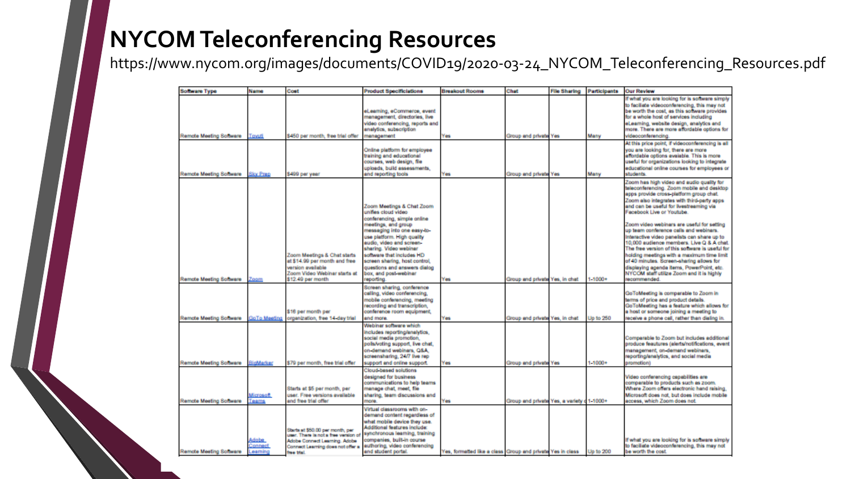#### **NYCOM Teleconferencing Resources**

https://www.nycom.org/images/documents/COVID19/2020-03-24\_NYCOM\_Teleconferencing\_Resources.pdf

| Software Type                 | Name                              | Cost                                                                                                                                                       | <b>Product Specificiations</b>                                                                                                                                                                                                                                                                                                                                 | <b>Breakout Rooms</b>                                      | Chat                                       | <b>File Sharing</b> | Participants | <b>Our Review</b>                                                                                                                                                                                                                                                                                                                                                                                                                                                                                                                                                                                                                                                                                  |
|-------------------------------|-----------------------------------|------------------------------------------------------------------------------------------------------------------------------------------------------------|----------------------------------------------------------------------------------------------------------------------------------------------------------------------------------------------------------------------------------------------------------------------------------------------------------------------------------------------------------------|------------------------------------------------------------|--------------------------------------------|---------------------|--------------|----------------------------------------------------------------------------------------------------------------------------------------------------------------------------------------------------------------------------------------------------------------------------------------------------------------------------------------------------------------------------------------------------------------------------------------------------------------------------------------------------------------------------------------------------------------------------------------------------------------------------------------------------------------------------------------------------|
|                               |                                   |                                                                                                                                                            | eLearning, eCommerce, event<br>management, directories, live<br>video conferencing, reports and<br>analytics, subscription                                                                                                                                                                                                                                     |                                                            |                                            |                     |              | If what you are looking for is software simply<br>to faciliate videoconferencing, this may not<br>be worth the cost, as this software provides<br>for a whole host of services including<br>eLearning, website design, analytics and<br>more. There are more affordable options for                                                                                                                                                                                                                                                                                                                                                                                                                |
| Remote Meeting Schware        | Towuti                            | \$450 per month, free trial offer                                                                                                                          | management                                                                                                                                                                                                                                                                                                                                                     | Yes                                                        | Group and private Yes                      |                     | Many         | videoconferencing.                                                                                                                                                                                                                                                                                                                                                                                                                                                                                                                                                                                                                                                                                 |
| <b>Remote Meeting Schware</b> | <b>Sky Prep</b>                   | \$499 per year                                                                                                                                             | Online platform for employee<br>training and educational<br>courses, web design, file<br>uploads, build assessments,<br>and reporting tools                                                                                                                                                                                                                    | Yes                                                        | Group and private Yes                      |                     | Many         | At this price point, if videoconferencing is all<br>you are looking for, there are more<br>affordable options evalable. This is more<br>useful for organizations looking to integrate<br>educational online courses for employees or<br>students.                                                                                                                                                                                                                                                                                                                                                                                                                                                  |
| Remote Meeting Software       | Zoom                              | Zoom Meetings & Chat starts<br>at \$14.99 per month and free<br>version evailable<br>Zoom Video Webinar starts at<br>\$12.49 per month                     | Zoom Meetings & Chat Zoom<br>unifies cloud video<br>conferencing, simple online<br>meetings, and group<br>messaging into one easy-to-<br>use platform. High quality<br>audio, video and screen-<br>sharing. Video webinar<br>software that includes HD<br>screen sharing, host control,<br>questions and answers dialog<br>box, and post-webinar<br>reporting. | Yes                                                        | Group and private Yes, in chat             |                     | $1 - 1000 +$ | Zoom has high video and audio quality for<br>teleconferencing. Zoom mobile and desktop<br>apps provide cross platform group chat.<br>Zoom also integrates with third party apps<br>and can be useful for livestreaming via<br>Facebook Live or Youtube.<br>Zoom video webinars are useful for setting<br>up team conference calls and webinars.<br>Interactive video panelists can share up to<br>10,000 audience members. Live Q & A chat.<br>The free version of this soliware is useful for<br>holding meetings with a maximum time limit<br>of 40 minutes. Screen-sharing allows for<br>displaying agenda items, PowerPoint, etc.<br>NYCOM staff utilize Zoom and it is highly<br>recommended. |
| Remote Meeting Software       | <b>GoTo Meeting</b>               | \$16 per month per<br>organization, free 14-day trial                                                                                                      | Screen sharing, conference<br>calling, video conferencing,<br>mobile conferencing, meeting<br>recording and transcription,<br>conference room equipment,<br>and more.                                                                                                                                                                                          | Yes                                                        | Group and private Yes, in chat             |                     | Up to 250    | GoToMeeting is comparable to Zoom in<br>terms of price and product details.<br>GoToMeeting has a feature which allows for<br>a host or someone joining a meeting to<br>receive a phone call, rather than dialing in.                                                                                                                                                                                                                                                                                                                                                                                                                                                                               |
| <b>Remote Meeting Schware</b> | BigMarker                         | \$79 per month, free trial offer                                                                                                                           | Webinar software which<br>includes reporting/analytics,<br>social media promotion,<br>polls/voting support, live chat,<br>on-demand webinars, Q&A.<br>screensharing, 24/7 live rep.<br>support and online support.                                                                                                                                             | Yes                                                        | Group and private Yes                      |                     | $1 - 1000 +$ | Comparable to Zoom but includes additional<br>produce feautures (alerts/notifications, event<br>management, on-demand webinars,<br>reporting/analytics, and social media<br>(noitomatiq                                                                                                                                                                                                                                                                                                                                                                                                                                                                                                            |
| Remote Meeting Software       | Microsoft<br>Teams                | Starts at \$5 per month, per<br>user. Free versions available<br>and free trial offer                                                                      | Cloud based solutions<br>designed for business<br>communications to help teams<br>manage chat, meet, file<br>sharing, team discussions and<br>more.                                                                                                                                                                                                            | Yes.                                                       | Group and private Yes, a variety c 1-1000+ |                     |              | Video conferencing capabilities are<br>comparable to products such as zoom.<br>Where Zoom offers electronic hand raising.<br>Microsoft does not, but does include mobile<br>access, which Zoom does not.                                                                                                                                                                                                                                                                                                                                                                                                                                                                                           |
| Remote Meeting Schware        | <b>Adobe</b><br>connect<br>eaming | Starts at \$50.00 per month, per<br>user. There is not a free version of<br>Adobe Connect Learning. Adobe<br>Connect Learning does not offer a<br>hee that | Virtual classrooms with on-<br>demand content regardless of<br>what mobile device they use.<br>Additional features include:<br>synchronous learning, training<br>companies, built-in course<br>authoring, video conferencing<br>and student portal.                                                                                                            | Yes, formatted like a class Group and private Yes in class |                                            |                     | Up to 200    | If what you are looking for is software simply<br>to faciliate videoconferencing, this may not<br>be worth the cost.                                                                                                                                                                                                                                                                                                                                                                                                                                                                                                                                                                               |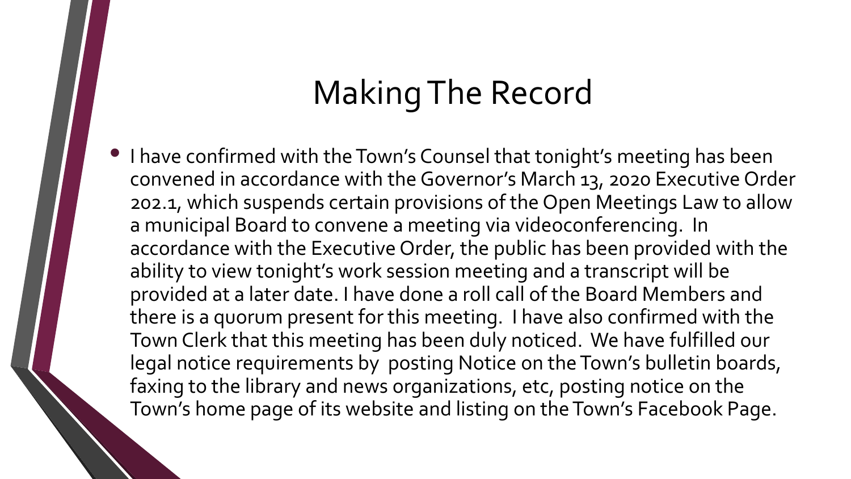#### Making The Record

• I have confirmed with the Town's Counsel that tonight's meeting has been convened in accordance with the Governor's March 13, 2020 Executive Order 202.1, which suspends certain provisions of the Open Meetings Law to allow a municipal Board to convene a meeting via videoconferencing. In accordance with the Executive Order, the public has been provided with the ability to view tonight's work session meeting and a transcript will be provided at a later date. I have done a roll call of the Board Members and there is a quorum present for this meeting. I have also confirmed with the Town Clerk that this meeting has been duly noticed. We have fulfilled our legal notice requirements by posting Notice on the Town's bulletin boards, faxing to the library and news organizations, etc, posting notice on the Town's home page of its website and listing on the Town's Facebook Page.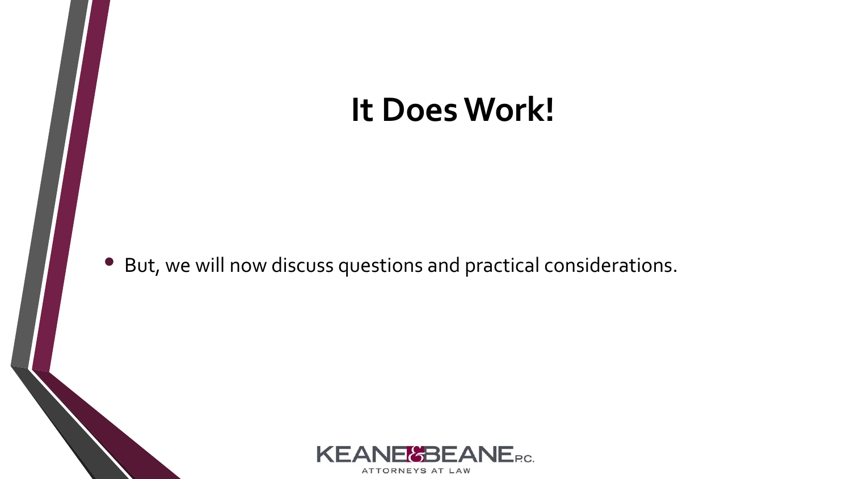#### **It Does Work!**

• But, we will now discuss questions and practical considerations.

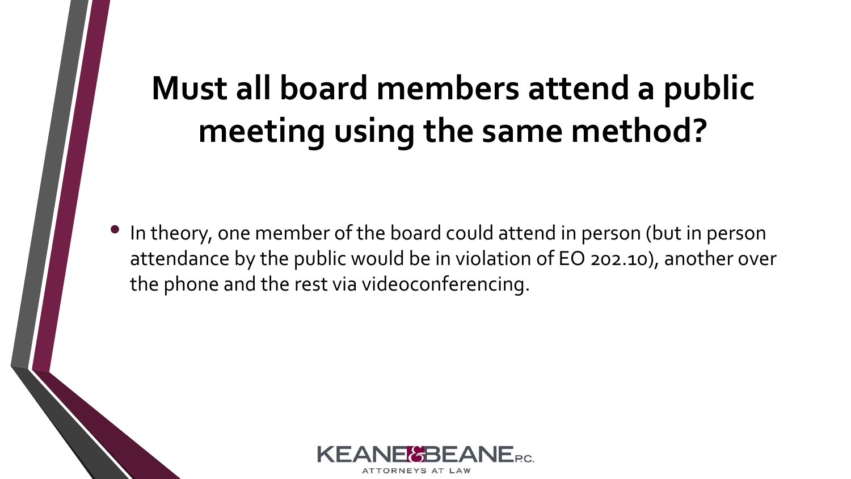### **Must all board members attend a public meeting using the same method?**

• In theory, one member of the board could attend in person (but in person attendance by the public would be in violation of EO 202.10), another over the phone and the rest via videoconferencing.

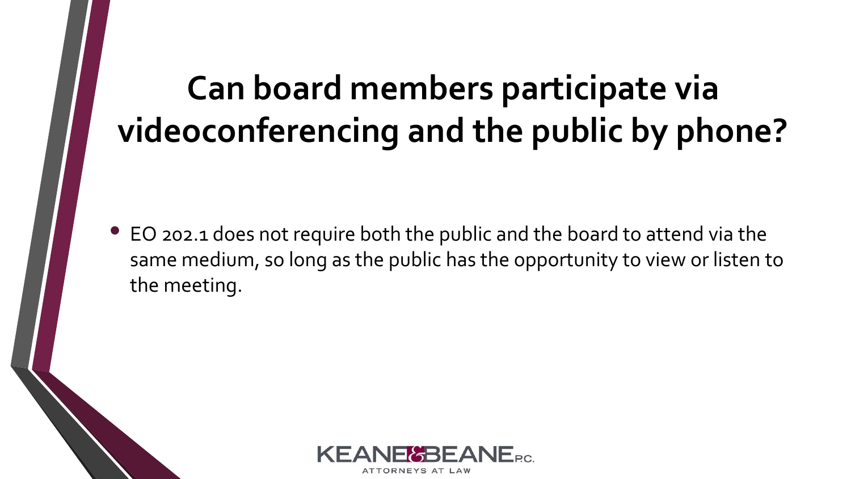### **Can board members participate via videoconferencing and the public by phone?**

• EO 202.1 does not require both the public and the board to attend via the same medium, so long as the public has the opportunity to view or listen to the meeting.

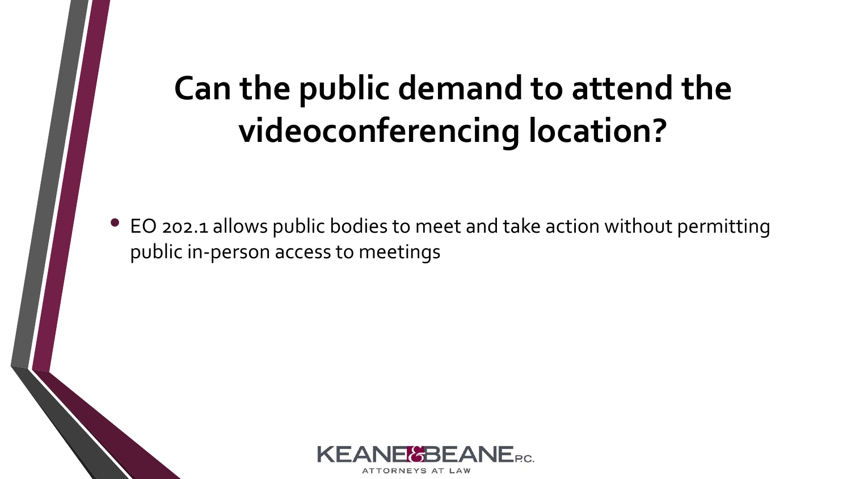### **Can the public demand to attend the videoconferencing location?**

• EO 202.1 allows public bodies to meet and take action without permitting public in-person access to meetings

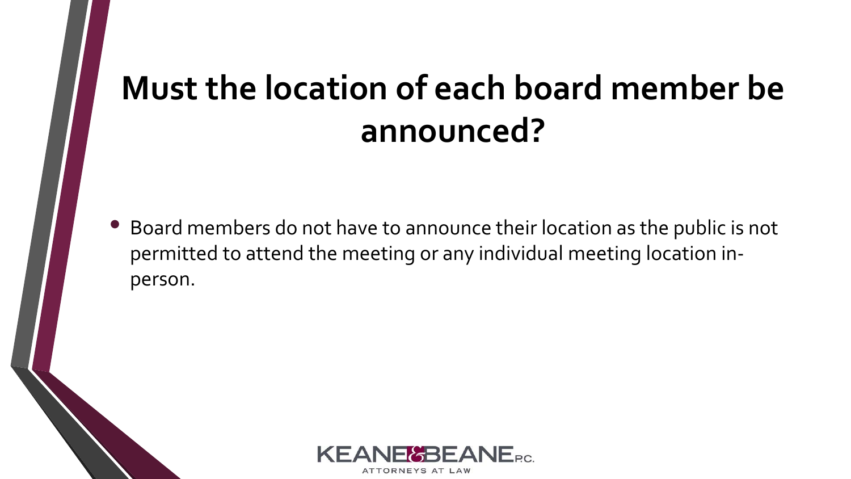#### **Must the location of each board member be announced?**

• Board members do not have to announce their location as the public is not permitted to attend the meeting or any individual meeting location inperson.

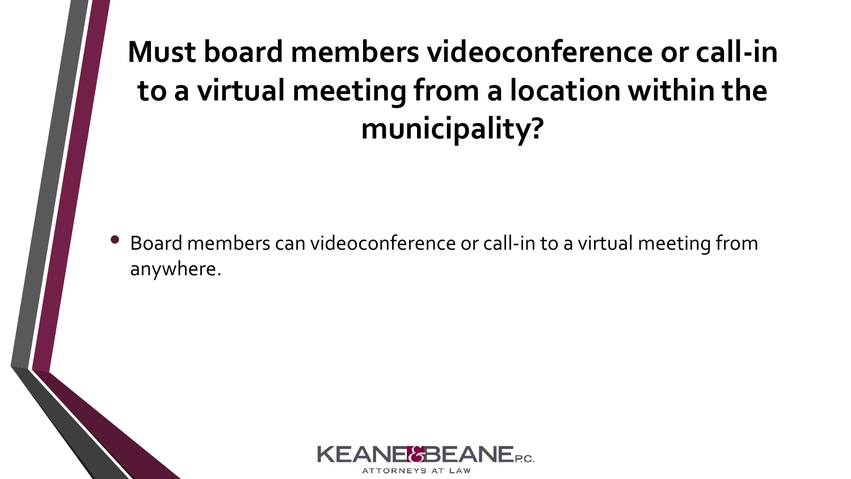#### **Must board members videoconference or call-in to a virtual meeting from a location within the municipality?**

• Board members can videoconference or call-in to a virtual meeting from anywhere.

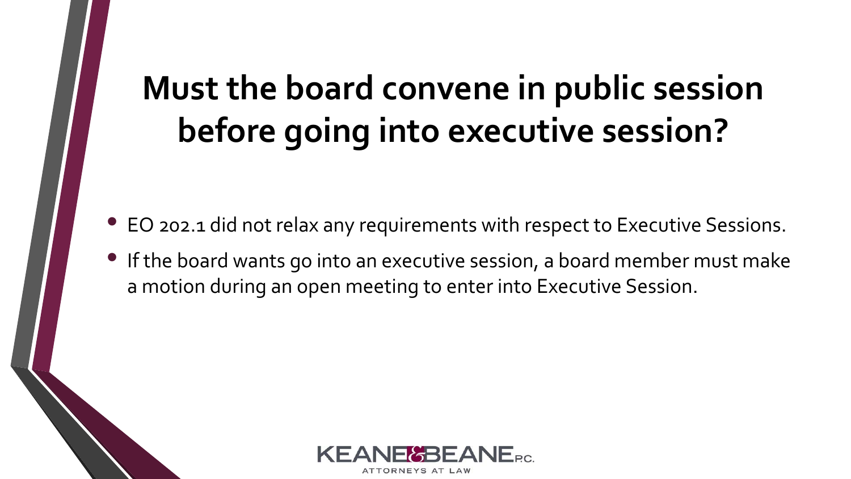# **Must the board convene in public session before going into executive session?**

- EO 202.1 did not relax any requirements with respect to Executive Sessions.
- If the board wants go into an executive session, a board member must make a motion during an open meeting to enter into Executive Session.

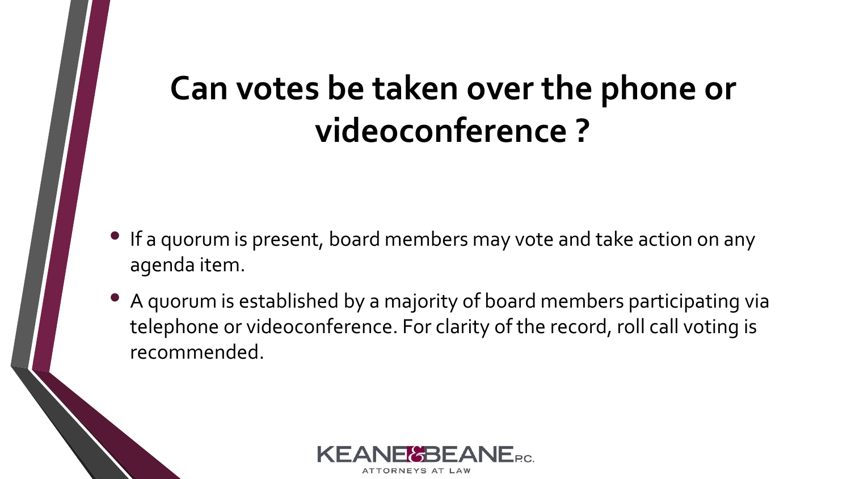#### **Can votes be taken over the phone or videoconference ?**

- If a quorum is present, board members may vote and take action on any agenda item.
- A quorum is established by a majority of board members participating via telephone or videoconference. For clarity of the record, roll call voting is recommended.

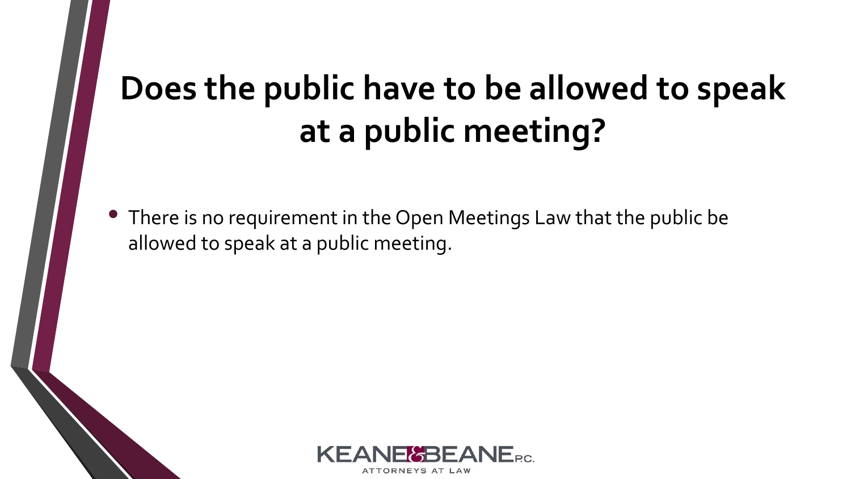### **Does the public have to be allowed to speak at a public meeting?**

• There is no requirement in the Open Meetings Law that the public be allowed to speak at a public meeting.

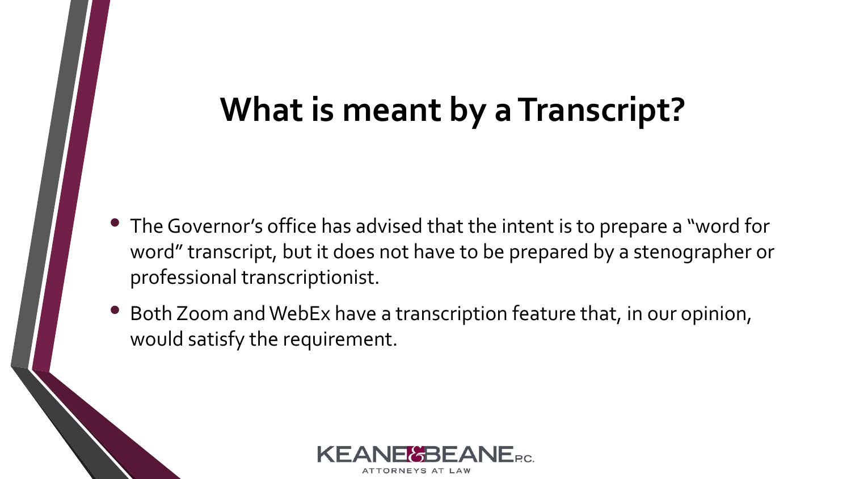#### **What is meant by a Transcript?**

- The Governor's office has advised that the intent is to prepare a "word for word" transcript, but it does not have to be prepared by a stenographer or professional transcriptionist.
- Both Zoom and WebEx have a transcription feature that, in our opinion, would satisfy the requirement.

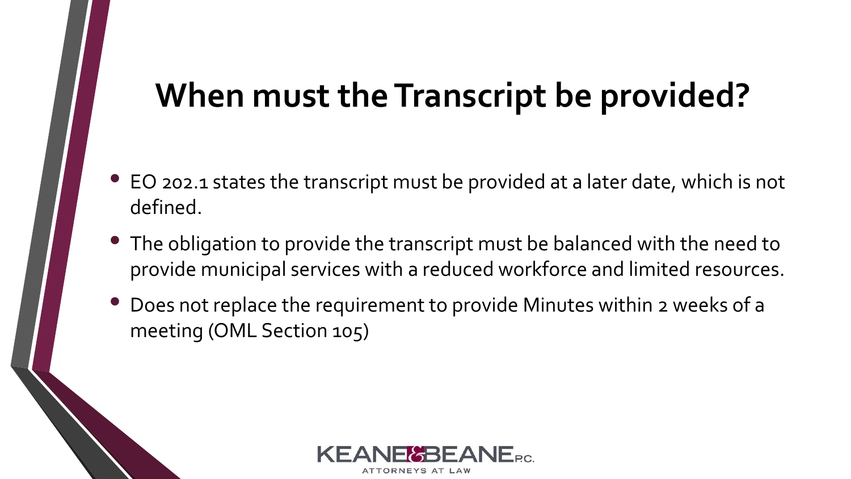#### **When must the Transcript be provided?**

- EO 202.1 states the transcript must be provided at a later date, which is not defined.
- The obligation to provide the transcript must be balanced with the need to provide municipal services with a reduced workforce and limited resources.
- Does not replace the requirement to provide Minutes within 2 weeks of a meeting (OML Section 105)

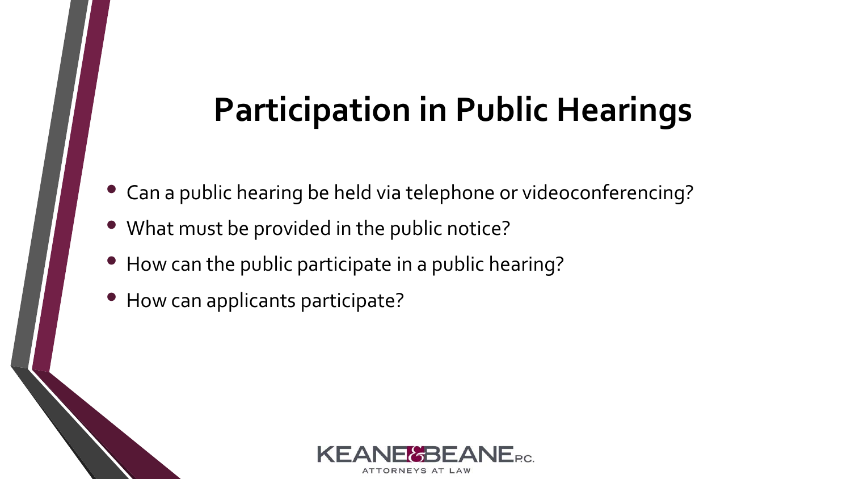#### **Participation in Public Hearings**

- Can a public hearing be held via telephone or videoconferencing?
- What must be provided in the public notice?
- How can the public participate in a public hearing?
- How can applicants participate?

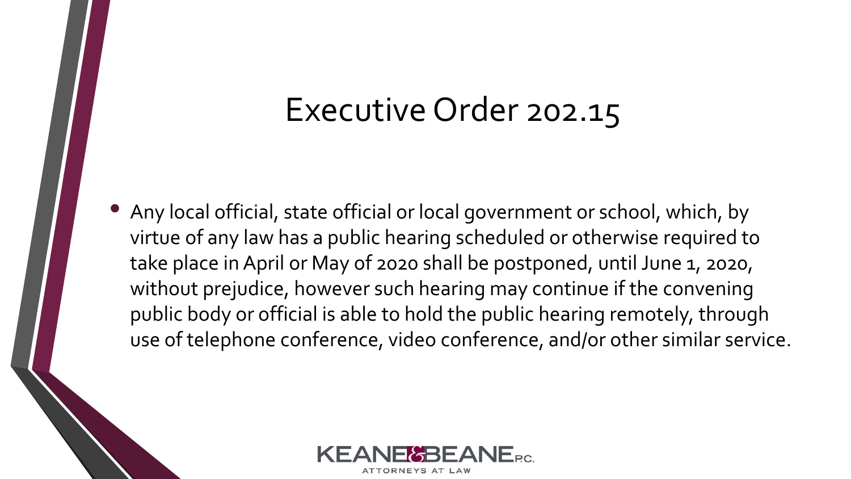#### Executive Order 202.15

• Any local official, state official or local government or school, which, by virtue of any law has a public hearing scheduled or otherwise required to take place in April or May of 2020 shall be postponed, until June 1, 2020, without prejudice, however such hearing may continue if the convening public body or official is able to hold the public hearing remotely, through use of telephone conference, video conference, and/or other similar service.

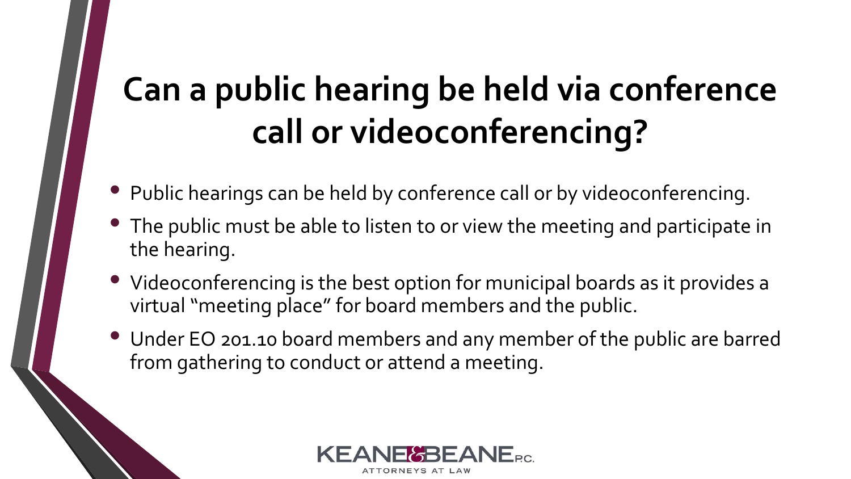## **Can a public hearing be held via conference call or videoconferencing?**

- Public hearings can be held by conference call or by videoconferencing.
- The public must be able to listen to or view the meeting and participate in the hearing.
- Videoconferencing is the best option for municipal boards as it provides a virtual "meeting place" for board members and the public.
- Under EO 201.10 board members and any member of the public are barred from gathering to conduct or attend a meeting.

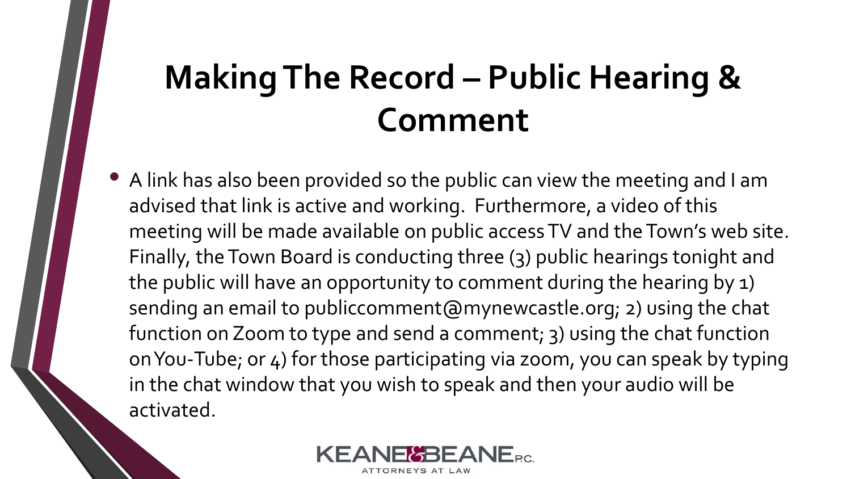### **Making The Record – Public Hearing & Comment**

• A link has also been provided so the public can view the meeting and I am advised that link is active and working. Furthermore, a video of this meeting will be made available on public access TV and the Town's web site. Finally, the Town Board is conducting three (3) public hearings tonight and the public will have an opportunity to comment during the hearing by 1) sending an email to publiccomment@mynewcastle.org; 2) using the chat function on Zoom to type and send a comment; 3) using the chat function on You-Tube; or 4) for those participating via zoom, you can speak by typing in the chat window that you wish to speak and then your audio will be activated.

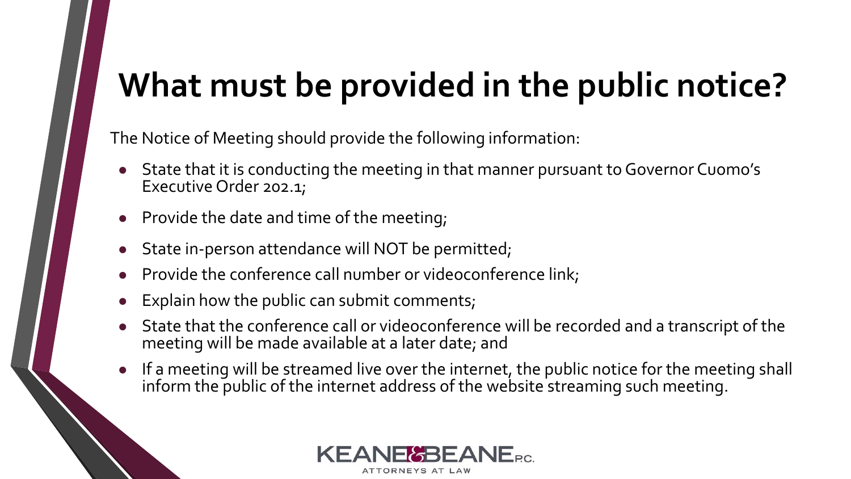### **What must be provided in the public notice?**

The Notice of Meeting should provide the following information:

- State that it is conducting the meeting in that manner pursuant to Governor Cuomo's Executive Order 202.1;
- **Provide the date and time of the meeting;**
- State in-person attendance will NOT be permitted;
- Provide the conference call number or videoconference link;
- Explain how the public can submit comments;
- State that the conference call or videoconference will be recorded and a transcript of the meeting will be made available at a later date; and
- If a meeting will be streamed live over the internet, the public notice for the meeting shall inform the public of the internet address of the website streaming such meeting.

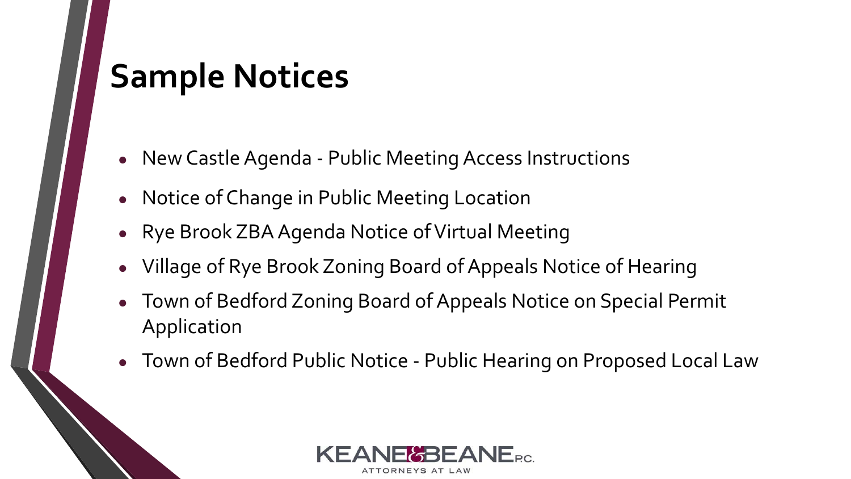#### **Sample Notices**

- New Castle Agenda Public Meeting Access Instructions
- Notice of Change in Public Meeting Location
- Rye Brook ZBA Agenda Notice of Virtual Meeting
- Village of Rye Brook Zoning Board of Appeals Notice of Hearing
- Town of Bedford Zoning Board of Appeals Notice on Special Permit Application
- Town of Bedford Public Notice Public Hearing on Proposed Local Law

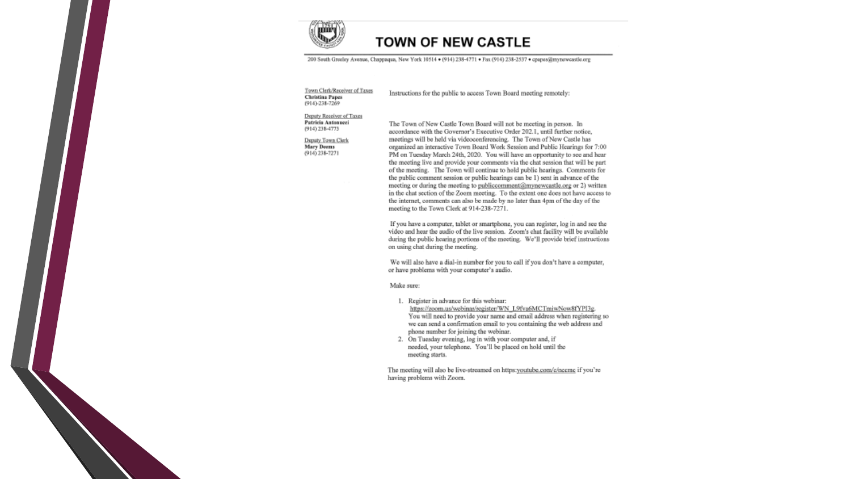

#### **TOWN OF NEW CASTLE**

200 South Grooley Avenue, Chappaqua, New York 10514 . (914) 238-4771 . Fax (914) 238-2537 . cpapes@mynewcastle.org

#### Town Clerk/Receiver of Taxes **Christina Papes** (914)-238-7269

Instructions for the public to access Town Board meeting remotely:

#### Deputy Receiver of Taxes Patricia Antonucci  $(914)$  238-4773

Deputy Town Clerk **Mary Deems** (914) 238-7271

The Town of New Castle Town Board will not be meeting in person. In accordance with the Governor's Executive Order 202.1, until further notice, meetings will be held via videoconferencing. The Town of New Castle has organized an interactive Town Board Work Session and Public Hearings for 7:00 PM on Tuesday March 24th, 2020. You will have an opportunity to see and hear the meeting live and provide your comments via the chat session that will be part of the meeting. The Town will continue to hold public hearings. Comments for the public comment session or public hearings can be 1) sent in advance of the meeting or during the meeting to publiccomment@mynewcastle.org or 2) written in the chat section of the Zoom meeting. To the extent one does not have access to the internet, comments can also be made by no later than 4pm of the day of the meeting to the Town Clerk at 914-238-7271.

If you have a computer, tablet or smartphone, you can register, log in and see the video and hear the audio of the live session. Zoom's chat facility will be available during the public hearing portions of the meeting. We'll provide brief instructions on using chat during the meeting.

We will also have a dial-in number for you to call if you don't have a computer, or have problems with your computer's audio.

Make sure:

- 1. Register in advance for this webinar: https://zoom.us/webinar/register/WN\_L9fva6MCTmiwNow8fYPI3g. You will need to provide your name and email address when registering so we can send a confirmation email to you containing the web address and phone number for joining the webinar.
- 2. On Tuesday evening, log in with your computer and, if needed, your telephone. You'll be placed on hold until the meeting starts.

The meeting will also be live-streamed on https:youtube.com/c/nccmc if you're having problems with Zoom.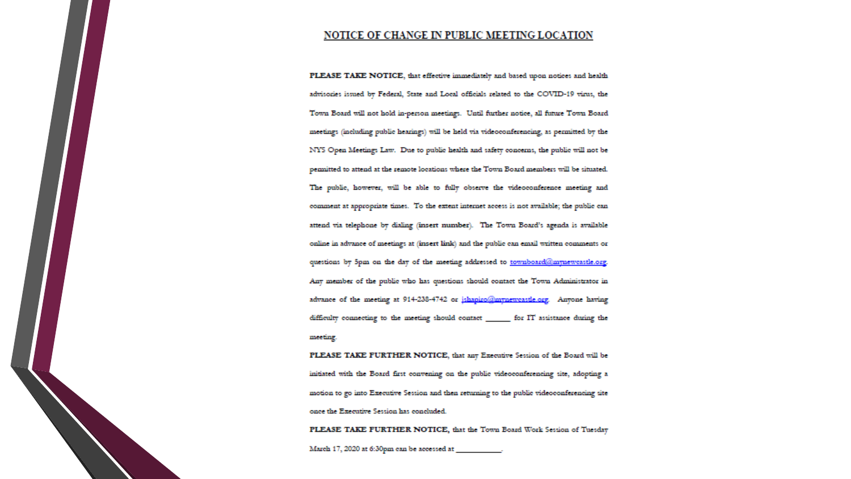#### NOTICE OF CHANGE IN PUBLIC MEETING LOCATION

PLEASE TAKE NOTICE, that effective immediately and based upon notices and health advisories issued by Federal, State and Local officials related to the COVID-19 virus, the Town Board will not hold in-person meetings. Until further notice, all future Town Board meetings (including public hearings) will be held via videoconferencing, as permitted by the NYS Open Meetings Law. Due to public health and safety concerns, the public will not be permitted to attend at the remote locations where the Town Board members will be situated. The public, however, will be able to fully observe the videoconference meeting and comment at appropriate times. To the extent internet access is not available; the public can attend via telephone by dialing (insert number). The Town Board's agenda is available online in advance of meetings at (insert link) and the public can email written comments or questions by 5pm on the day of the meeting addressed to townboard@mynewcastle.org. Any member of the public who has questions should contact the Town Administrator in advance of the meeting at 914-238-4742 or jshapiro@mynewcastle.org. Anyone having difficulty connecting to the meeting should contact \_\_\_\_\_\_\_ for IT assistance during the meeting.

PLEASE TAKE FURTHER NOTICE, that any Executive Session of the Board will be initiated with the Board first convening on the public videoconferencing site, adopting a motion to go into Executive Session and then returning to the public videoconferencing site once the Executive Session has concluded.

PLEASE TAKE FURTHER NOTICE, that the Town Board Work Session of Tuesday March 17, 2020 at 6:30pm can be accessed at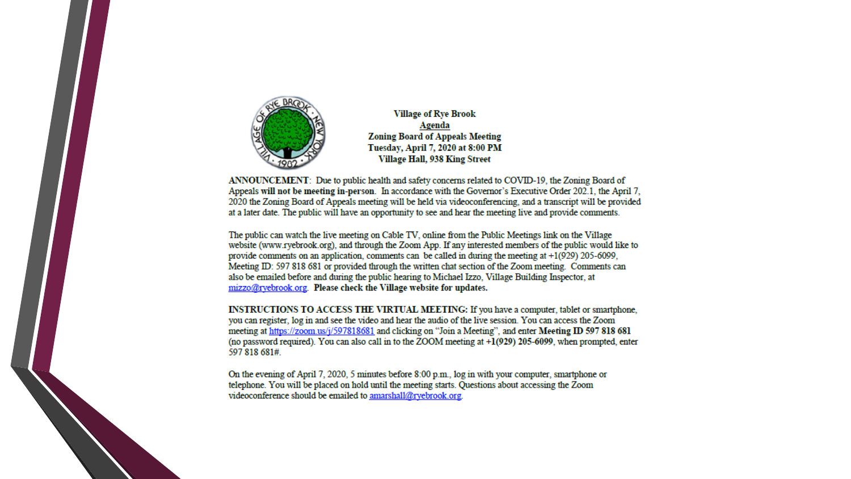

**Village of Rye Brook** Agenda **Zoning Board of Appeals Meeting** Tuesday, April 7, 2020 at 8:00 PM Village Hall, 938 King Street

ANNOUNCEMENT: Due to public health and safety concerns related to COVID-19, the Zoning Board of Appeals will not be meeting in-person. In accordance with the Governor's Executive Order 202.1, the April 7, 2020 the Zoning Board of Appeals meeting will be held via videoconferencing, and a transcript will be provided at a later date. The public will have an opportunity to see and hear the meeting live and provide comments.

The public can watch the live meeting on Cable TV, online from the Public Meetings link on the Village website (www.ryebrook.org), and through the Zoom App. If any interested members of the public would like to provide comments on an application, comments can be called in during the meeting at  $+1(929)$  205-6099. Meeting ID: 597 818 681 or provided through the written chat section of the Zoom meeting. Comments can also be emailed before and during the public hearing to Michael Izzo, Village Building Inspector, at mizzo@rvebrook.org. Please check the Village website for updates.

INSTRUCTIONS TO ACCESS THE VIRTUAL MEETING: If you have a computer, tablet or smartphone, you can register, log in and see the video and hear the audio of the live session. You can access the Zoom meeting at https://zoom.us/j/597818681 and clicking on "Join a Meeting", and enter Meeting ID 597 818 681 (no password required). You can also call in to the ZOOM meeting at  $+1(929)$  205-6099, when prompted, enter 597 818 681#.

On the evening of April 7, 2020, 5 minutes before 8:00 p.m., log in with your computer, smartphone or telephone. You will be placed on hold until the meeting starts. Questions about accessing the Zoom videoconference should be emailed to amarshall@rvebrook.org.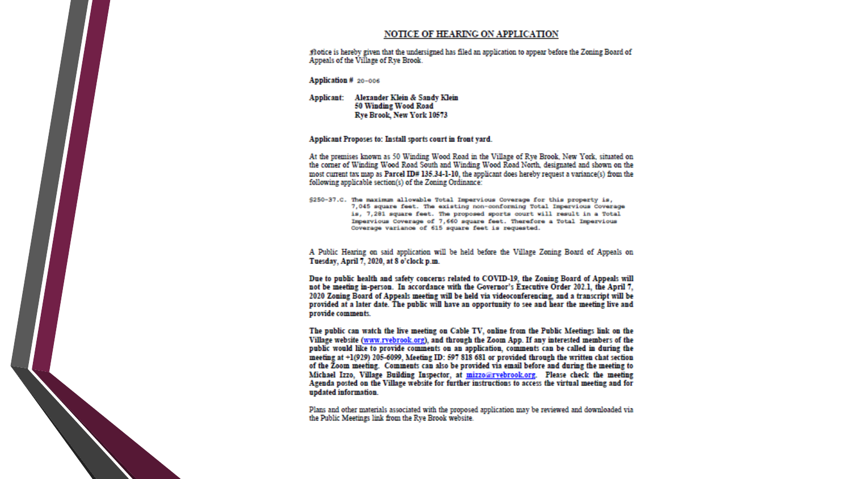#### **NOTICE OF HEARING ON APPLICATION**

flotice is hereby given that the undersigned has filed an application to appear before the Zoning Board of Appeals of the Village of Rye Brook.

Application # 20-006

Applicant: Alexander Klein & Sandy Klein 50 Winding Wood Road Rye Brook, New York 10573

#### Applicant Proposes to: Install sports court in front yard.

At the premises known as 50 Winding Wood Road in the Village of Rye Brook, New York, situated on the corner of Winding Wood Road South and Winding Wood Road North, designated and shown on the most current tax map as Parcel ID# 135.34-1-10, the applicant does hereby request a variance(s) from the following applicable section(s) of the Zoning Ordinance:

\$250-37.C. The maximum allowable Total Impervious Coverage for this property is, 7,045 square feet. The existing non-conforming Total Impervious Coverage is, 7,281 square feet. The proposed sports court will result in a Total Impervious Coverage of 7,660 square feet. Therefore a Total Impervious Coverage variance of 615 square feet is requested.

A Public Hearing on said application will be held before the Village Zoning Board of Appeals on Tuesday, April 7, 2020, at 8 o'clock p.m.

Due to public health and safety concerns related to COVID-19, the Zoning Board of Appeals will not be meeting in-person. In accordance with the Governor's Executive Order 202.1, the April 7, 2020 Zoning Board of Appeals meeting will be held via videoconferencing, and a transcript will be provided at a later date. The public will have an opportunity to see and hear the meeting live and provide comments.

The public can watch the live meeting on Cable TV, online from the Public Meetings link on the Village website (www.ryebrook.org), and through the Zoom App. If any interested members of the public would like to provide comments on an application, comments can be called in during the meeting at +1(929) 205-6099, Meeting ID: 597 818 681 or provided through the written chat section of the Zoom meeting. Comments can also be provided via email before and during the meeting to Michael Izzo, Village Building Inspector, at mizzo@rvebrook.org. Please check the meeting Agenda posted on the Village website for further instructions to access the virtual meeting and for updated information.

Plans and other materials associated with the proposed application may be reviewed and downloaded via the Public Meetings link from the Rye Brook website.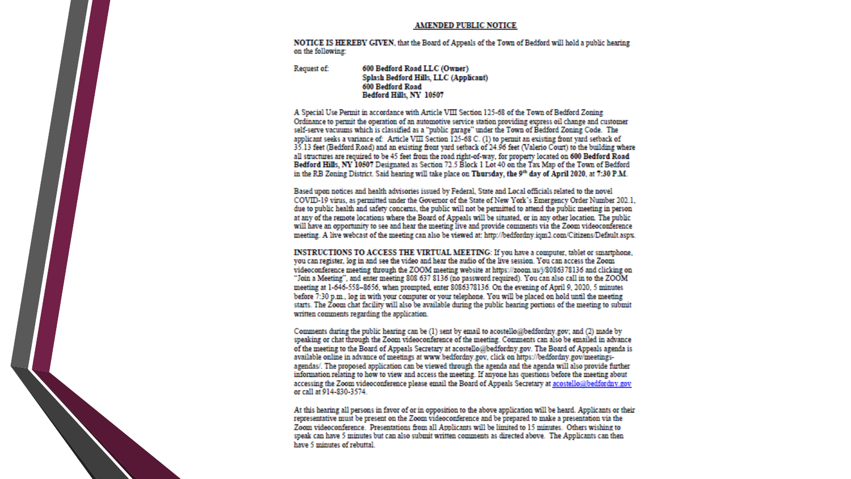#### **AMENDED PUBLIC NOTICE**

NOTICE IS HEREBY GIVEN, that the Board of Appeals of the Town of Bedford will hold a public hearing on the following:

Request of: 600 Bedford Road LLC (Owner) Splash Bedford Hills, LLC (Applicant) 600 Bedford Road Bedford Hills, NY 10507

A Special Use Permit in accordance with Article VIII Section 125-68 of the Town of Bedford Zoning Ordinance to permit the operation of an automotive service station providing express oil change and customer self-serve vacuums which is classified as a "public garage" under the Town of Bedford Zoning Code. The applicant seeks a variance of: Article VIII Section 125-68 C. (1) to permit an existing front vard setback of 35.13 feet (Bedford Road) and an existing front vard setback of 24.96 feet (Valerio Court) to the building where all structures are required to be 45 feet from the road right-of-way, for property located on 600 Bedford Road Bedford Hills, NY 10507 Designated as Section 72.5 Block 1 Lot 40 on the Tax Map of the Town of Bedford in the RB Zoning District. Said hearing will take place on Thursday, the 9th day of April 2020, at 7:30 P.M.

Based upon notices and health advisories issued by Federal, State and Local officials related to the novel COVID-19 virus, as permitted under the Governor of the State of New York's Emergency Order Number 202.1. due to public health and safety concerns, the public will not be permitted to attend the public meeting in person at any of the remote locations where the Board of Appeals will be situated, or in any other location. The public will have an opportunity to see and hear the meeting live and provide comments via the Zoom videoconference meeting. A live webcast of the meeting can also be viewed at: http://bedfordny.igm2.com/Citizens/Default.aspx.

INSTRUCTIONS TO ACCESS THE VIRTUAL MEETING: If you have a computer, tablet or smartphone. you can register, log in and see the video and hear the audio of the live session. You can access the Zoom videoconference meeting through the ZOOM meeting website at https://zoom.us/j/8086378136 and clicking on "Join a Meeting", and enter meeting 808 637 8136 (no password required). You can also call in to the ZOOM meeting at 1-646-558-8656, when prompted, enter 8086378136. On the evening of April 9, 2020, 5 minutes before 7:30 p.m., log in with your computer or your telephone. You will be placed on hold until the meeting starts. The Zoom chat facility will also be available during the public hearing portions of the meeting to submit written comments regarding the application.

Comments during the public hearing can be (1) sent by email to acostello@bedfordny.gov; and (2) made by speaking or chat through the Zoom videoconference of the meeting. Comments can also be emailed in advance of the meeting to the Board of Appeals Secretary at acostello@bedfordny.gov. The Board of Appeals agenda is available online in advance of meetings at www.bedfordny.gov, click on https://bedfordny.gov/meetingsagendas/. The proposed application can be viewed through the agenda and the agenda will also provide further information relating to how to view and access the meeting. If anyone has questions before the meeting about accessing the Zoom videoconference please email the Board of Appeals Secretary at acostello@bedfordny.gov or call at 914-830-3574.

At this hearing all persons in favor of or in opposition to the above application will be heard. Applicants or their representative must be present on the Zoom videoconference and be prepared to make a presentation via the Zoom videoconference. Presentations from all Applicants will be limited to 15 minutes. Others wishing to speak can have 5 minutes but can also submit written comments as directed above. The Applicants can then have 5 minutes of rebuttal.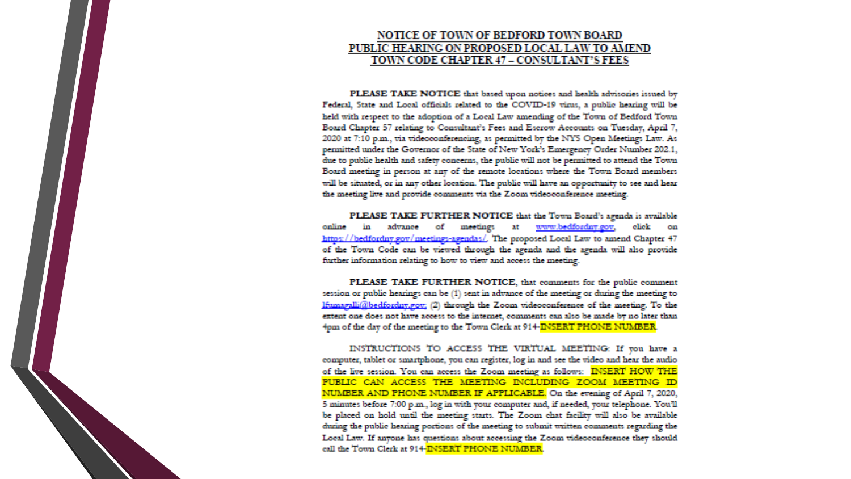#### **NOTICE OF TOWN OF BEDFORD TOWN BOARD** PUBLIC HEARING ON PROPOSED LOCAL LAW TO AMEND TOWN CODE CHAPTER 47 - CONSULTANT'S FEES

PLEASE TAKE NOTICE that based upon notices and health advisories issued by Federal, State and Local officials related to the COVID-19 virus, a public hearing will be held with respect to the adoption of a Local Law amending of the Town of Bedford Town Board Chapter 57 relating to Consultant's Fees and Escrow Accounts on Tuesday, April 7, 2020 at 7:10 p.m., via videoconferencing, as permitted by the NYS Open Meetings Law. As permitted under the Governor of the State of New York's Emergency Order Number 202.1, due to public health and safety concerns, the public will not be permitted to attend the Town Board meeting in person at any of the remote locations where the Town Board members will be situated, or in any other location. The public will have an opportunity to see and hear the meeting live and provide comments via the Zoom videoconference meeting.

PLEASE TAKE FURTHER NOTICE that the Town Board's agenda is available online in advance of meetings at www.bedfordny.gov, click on https://bedfordny.gov/meetings-agendas/. The proposed Local Law to amend Chapter 47 of the Town Code can be viewed through the agenda and the agenda will also provide further information relating to how to view and access the meeting.

PLEASE TAKE FURTHER NOTICE, that comments for the public comment session or public hearings can be (1) sent in advance of the meeting or during the meeting to lfumagalli@bedfordny.gov; (2) through the Zoom videoconference of the meeting. To the extent one does not have access to the internet, comments can also be made by no later than 4pm of the day of the meeting to the Town Clerk at 914-INSERT PHONE NUMBER.

INSTRUCTIONS TO ACCESS THE VIRTUAL MEETING: If you have a computer, tablet or smartphone, you can register, log in and see the video and hear the audio of the live session. You can access the Zoom meeting as follows: INSERT HOW THE PUBLIC CAN ACCESS THE MEETING INCLUDING ZOOM MEETING ID NUMBER AND PHONE NUMBER IF APPLICABLE. On the evening of April 7, 2020, 5 minutes before 7:00 p.m., log in with your computer and, if needed, your telephone. You'll be placed on hold until the meeting starts. The Zoom chat facility will also be available during the public hearing portions of the meeting to submit written comments regarding the Local Law. If anyone has questions about accessing the Zoom videoconference they should call the Town Clerk at 914-INSERT PHONE NUMBER.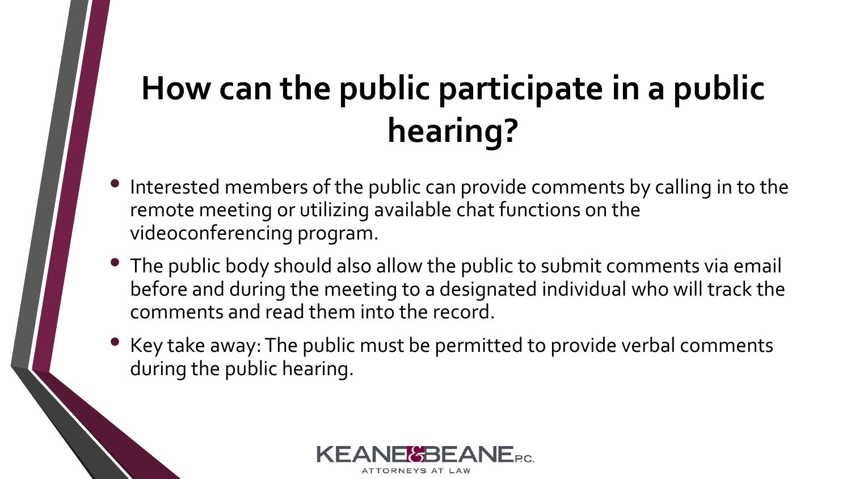# **How can the public participate in a public hearing?**

- Interested members of the public can provide comments by calling in to the remote meeting or utilizing available chat functions on the videoconferencing program.
- The public body should also allow the public to submit comments via email before and during the meeting to a designated individual who will track the comments and read them into the record.
- Key take away: The public must be permitted to provide verbal comments during the public hearing.

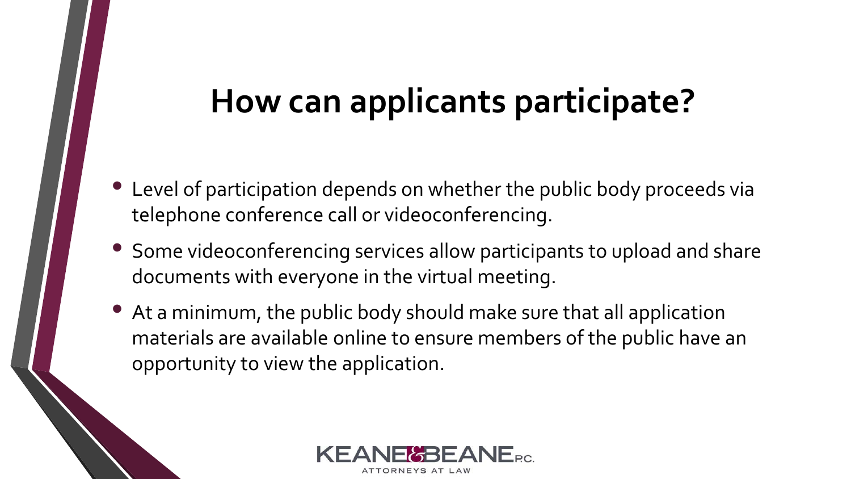#### **How can applicants participate?**

- Level of participation depends on whether the public body proceeds via telephone conference call or videoconferencing.
- Some videoconferencing services allow participants to upload and share documents with everyone in the virtual meeting.
- At a minimum, the public body should make sure that all application materials are available online to ensure members of the public have an opportunity to view the application.

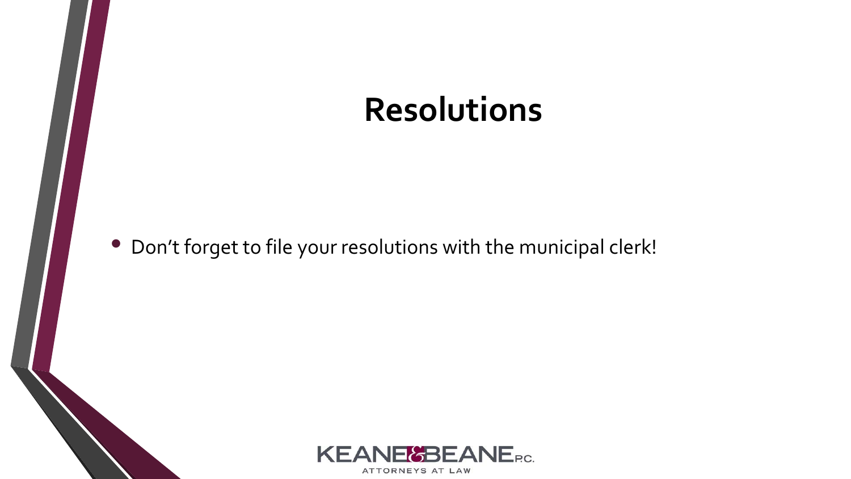#### **Resolutions**

• Don't forget to file your resolutions with the municipal clerk!

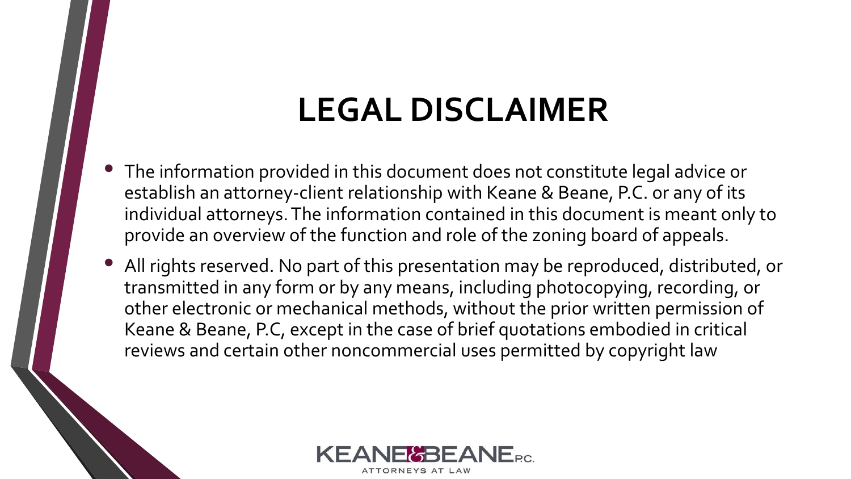#### **LEGAL DISCLAIMER**

- The information provided in this document does not constitute legal advice or establish an attorney-client relationship with Keane & Beane, P.C. or any of its individual attorneys. The information contained in this document is meant only to provide an overview of the function and role of the zoning board of appeals.
- All rights reserved. No part of this presentation may be reproduced, distributed, or transmitted in any form or by any means, including photocopying, recording, or other electronic or mechanical methods, without the prior written permission of Keane & Beane, P.C, except in the case of brief quotations embodied in critical reviews and certain other noncommercial uses permitted by copyright law